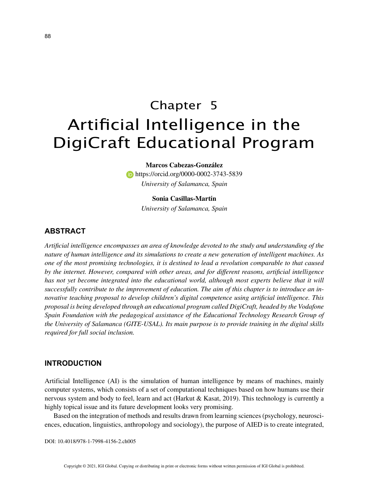# Chapter 5 Artificial Intelligence in the DigiCraft Educational Program

#### **Marcos Cabezas-González**

**https://orcid.org/0000-0002-3743-5839** *University of Salamanca, Spain*

#### **Sonia Casillas-Martín**

*University of Salamanca, Spain*

# **ABSTRACT**

*Artificial intelligence encompasses an area of knowledge devoted to the study and understanding of the nature of human intelligence and its simulations to create a new generation of intelligent machines. As one of the most promising technologies, it is destined to lead a revolution comparable to that caused by the internet. However, compared with other areas, and for different reasons, artificial intelligence has not yet become integrated into the educational world, although most experts believe that it will successfully contribute to the improvement of education. The aim of this chapter is to introduce an innovative teaching proposal to develop children's digital competence using artificial intelligence. This proposal is being developed through an educational program called DigiCraft, headed by the Vodafone Spain Foundation with the pedagogical assistance of the Educational Technology Research Group of the University of Salamanca (GITE-USAL). Its main purpose is to provide training in the digital skills required for full social inclusion.*

## **INTRODUCTION**

Artificial Intelligence (AI) is the simulation of human intelligence by means of machines, mainly computer systems, which consists of a set of computational techniques based on how humans use their nervous system and body to feel, learn and act (Harkut & Kasat, 2019). This technology is currently a highly topical issue and its future development looks very promising.

Based on the integration of methods and results drawn from learning sciences (psychology, neurosciences, education, linguistics, anthropology and sociology), the purpose of AIED is to create integrated,

DOI: 10.4018/978-1-7998-4156-2.ch005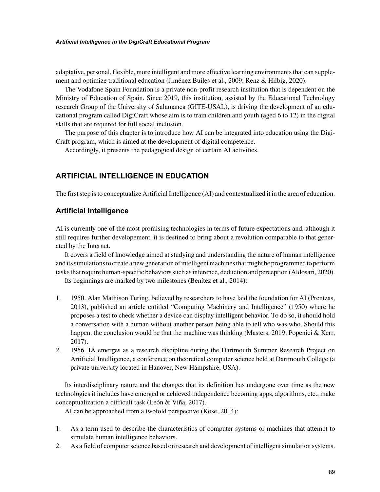adaptative, personal, flexible, more intelligent and more effective learning environments that can supplement and optimize traditional education (Jiménez Builes et al., 2009; Renz & Hilbig, 2020).

The Vodafone Spain Foundation is a private non-profit research institution that is dependent on the Ministry of Education of Spain. Since 2019, this institution, assisted by the Educational Technology research Group of the University of Salamanca (GITE-USAL), is driving the development of an educational program called DigiCraft whose aim is to train children and youth (aged 6 to 12) in the digital skills that are required for full social inclusion.

The purpose of this chapter is to introduce how AI can be integrated into education using the Digi-Craft program, which is aimed at the development of digital competence.

Accordingly, it presents the pedagogical design of certain AI activities.

# **ARTIFICIAL INTELLIGENCE IN EDUCATION**

The first step is to conceptualize Artificial Intelligence (AI) and contextualized it in the area of education.

# **Artificial Intelligence**

AI is currently one of the most promising technologies in terms of future expectations and, although it still requires further developement, it is destined to bring about a revolution comparable to that generated by the Internet.

It covers a field of knowledge aimed at studying and understanding the nature of human intelligence and its simulations to create a new generation of intelligent machines that might be programmed to perform tasks that require human-specific behaviors such as inference, deduction and perception (Aldosari, 2020).

Its beginnings are marked by two milestones (Benítez et al., 2014):

- 1. 1950. Alan Mathison Turing, believed by researchers to have laid the foundation for AI (Prentzas, 2013), published an article entitled "Computing Machinery and Intelligence" (1950) where he proposes a test to check whether a device can display intelligent behavior. To do so, it should hold a conversation with a human without another person being able to tell who was who. Should this happen, the conclusion would be that the machine was thinking (Masters, 2019; Popenici & Kerr, 2017).
- 2. 1956. IA emerges as a research discipline during the Dartmouth Summer Research Project on Artificial Intelligence, a conference on theoretical computer science held at Dartmouth College (a private university located in Hanover, New Hampshire, USA).

Its interdisciplinary nature and the changes that its definition has undergone over time as the new technologies it includes have emerged or achieved independence becoming apps, algorithms, etc., make conceptualization a difficult task (León & Viña, 2017).

AI can be approached from a twofold perspective (Kose, 2014):

- 1. As a term used to describe the characteristics of computer systems or machines that attempt to simulate human intelligence behaviors.
- 2. As a field of computer science based on research and development of intelligent simulation systems.